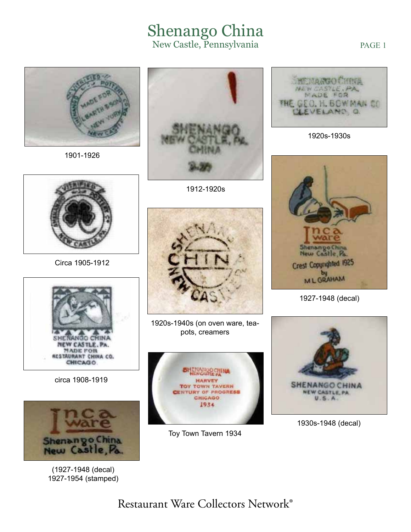## Shenango China New Castle, Pennsylvania

1901-1926



1912-1920s



Circa 1905-1912



circa 1908-1919



(1927-1948 (decal) 1927-1954 (stamped)



1920s-1940s (on oven ware, teapots, creamers



Toy Town Tavern 1934



PAGE 1

1920s-1930s



1927-1948 (decal)



1930s-1948 (decal)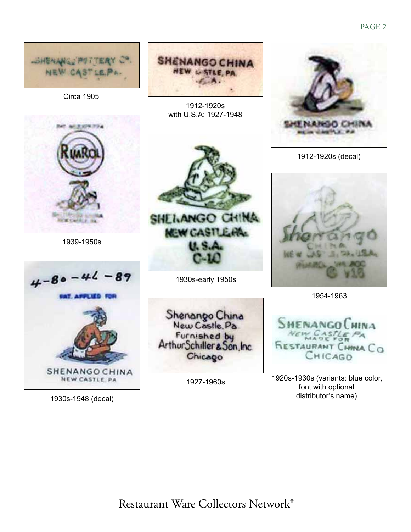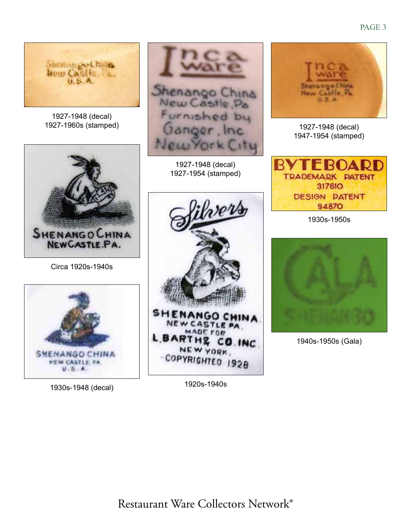

1920s-1940s 1930s-1948 (decal)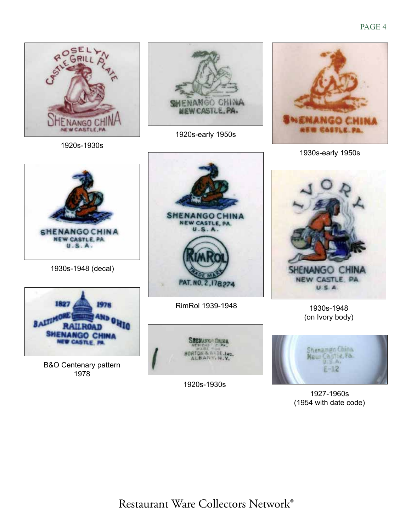

1927-1960s (1954 with date code)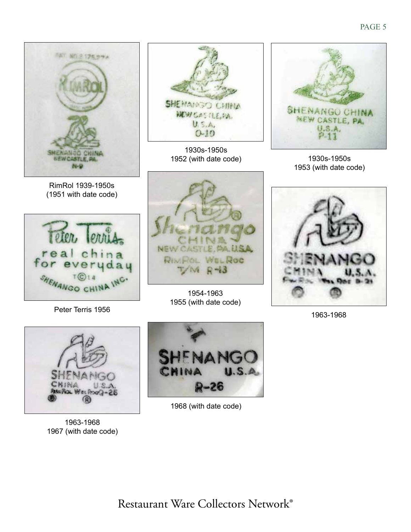



1963-1968 1967 (with date code)



1968 (with date code)